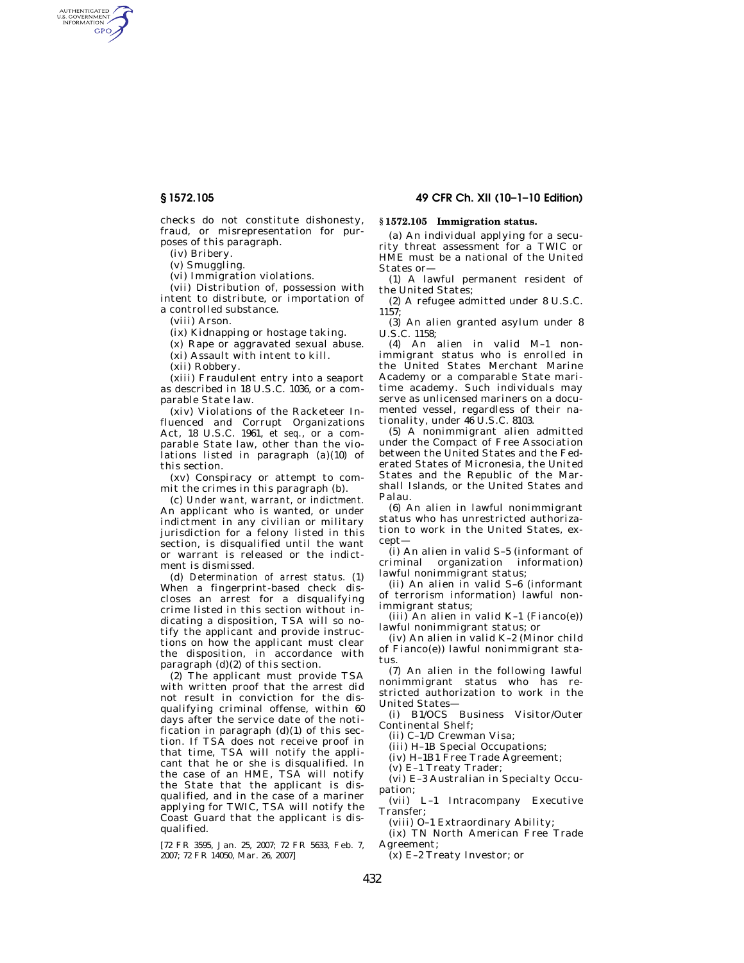AUTHENTICATED<br>U.S. GOVERNMENT<br>INFORMATION **GPO** 

> checks do not constitute dishonesty, fraud, or misrepresentation for purposes of this paragraph.

(iv) Bribery.

(v) Smuggling.

(vi) Immigration violations.

(vii) Distribution of, possession with intent to distribute, or importation of a controlled substance.

(viii) Arson.

(ix) Kidnapping or hostage taking.

(x) Rape or aggravated sexual abuse.

(xi) Assault with intent to kill.

(xii) Robbery.

(xiii) Fraudulent entry into a seaport as described in 18 U.S.C. 1036, or a comparable State law.

(xiv) Violations of the Racketeer Influenced and Corrupt Organizations Act, 18 U.S.C. 1961, *et seq.*, or a comparable State law, other than the violations listed in paragraph (a)(10) of this section.

(xv) Conspiracy or attempt to commit the crimes in this paragraph (b).

(c) *Under want, warrant, or indictment.*  An applicant who is wanted, or under indictment in any civilian or military jurisdiction for a felony listed in this section, is disqualified until the want or warrant is released or the indictment is dismissed.

(d) *Determination of arrest status.* (1) When a fingerprint-based check discloses an arrest for a disqualifying crime listed in this section without indicating a disposition, TSA will so notify the applicant and provide instructions on how the applicant must clear the disposition, in accordance with paragraph (d)(2) of this section.

(2) The applicant must provide TSA with written proof that the arrest did not result in conviction for the disqualifying criminal offense, within 60 days after the service date of the notification in paragraph  $(d)(1)$  of this section. If TSA does not receive proof in that time, TSA will notify the applicant that he or she is disqualified. In the case of an HME, TSA will notify the State that the applicant is disqualified, and in the case of a mariner applying for TWIC, TSA will notify the Coast Guard that the applicant is disqualified.

[72 FR 3595, Jan. 25, 2007; 72 FR 5633, Feb. 7, 2007; 72 FR 14050, Mar. 26, 2007]

## **§ 1572.105 49 CFR Ch. XII (10–1–10 Edition)**

# **§ 1572.105 Immigration status.**

(a) An individual applying for a security threat assessment for a TWIC or HME must be a national of the United States or—

(1) A lawful permanent resident of the United States;

(2) A refugee admitted under 8 U.S.C. 1157;

(3) An alien granted asylum under 8 U.S.C. 1158;

(4) An alien in valid M–1 nonimmigrant status who is enrolled in the United States Merchant Marine Academy or a comparable State maritime academy. Such individuals may serve as unlicensed mariners on a documented vessel, regardless of their nationality, under 46 U.S.C. 8103.

(5) A nonimmigrant alien admitted under the Compact of Free Association between the United States and the Federated States of Micronesia, the United States and the Republic of the Marshall Islands, or the United States and Palau.

(6) An alien in lawful nonimmigrant status who has unrestricted authorization to work in the United States, except—

(i) An alien in valid S–5 (informant of criminal organization information) lawful nonimmigrant status;

(ii) An alien in valid S–6 (informant of terrorism information) lawful nonimmigrant status;

 $(iii)$  An alien in valid K-1 (Fianco(e)) lawful nonimmigrant status; or

(iv) An alien in valid K–2 (Minor child of Fianco(e)) lawful nonimmigrant status

(7) An alien in the following lawful nonimmigrant status who has restricted authorization to work in the United States—

(i) B1/OCS Business Visitor/Outer Continental Shelf;

(ii) C–1/D Crewman Visa;

(iii) H–1B Special Occupations;

(iv) H–1B1 Free Trade Agreement;

(v) E–1 Treaty Trader;

(vi) E–3 Australian in Specialty Occupation;

(vii) L–1 Intracompany Executive Transfer;

(viii) O–1 Extraordinary Ability;

(ix) TN North American Free Trade Agreement;

(x) E–2 Treaty Investor; or